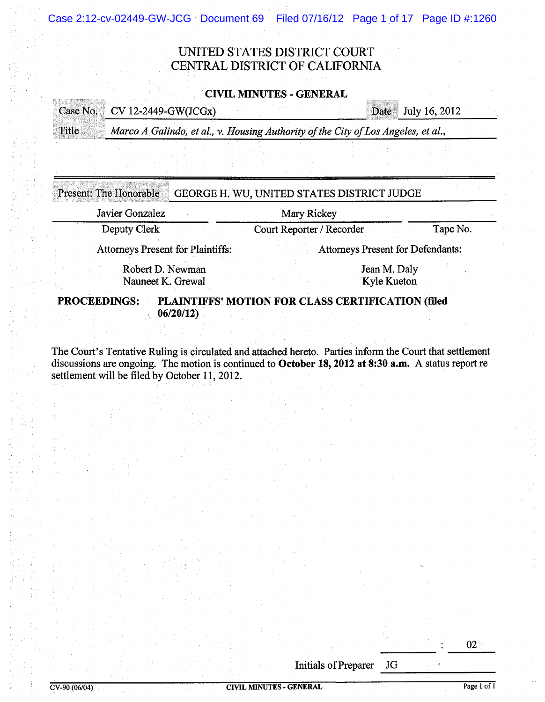Case 2:12-cv-02449-GW-JCG Document 69 Filed 07/16/12 Page 1 of 17 Page ID #:1260

# UNITED STATES DISTRICT COURT CENTRAL DISTRICT OF CALIFORNIA

## CIVIL MINUTES - GENERAL

<u>man menu</u>

|       | <b>Date</b> July 16, 2012<br>Case No. CV 12-2449-GW(JCGx)                         |  |
|-------|-----------------------------------------------------------------------------------|--|
| Title | Marco A Galindo, et al., v. Housing Authority of the City of Los Angeles, et al., |  |
|       |                                                                                   |  |

| Javier Gonzalez                          | Mary Rickey                              |          |
|------------------------------------------|------------------------------------------|----------|
| Deputy Clerk                             | Court Reporter / Recorder                | Tape No. |
| <b>Attorneys Present for Plaintiffs:</b> | <b>Attorneys Present for Defendants:</b> |          |
| Robert D. Newman<br>Nauneet K. Grewal    | Jean M. Daly<br>Kyle Kueton              |          |

The Court's Tentative Ruling is circulated and attached hereto. Parties inform the Court that settlement discussions are ongoing. The motion is continued to October 18, 2012 at 8:30 a.m. A status report re settlement will be filed by October 11, 2012.

> Initials of Preparer JG  $\frac{10}{10}$

**STRAKER** STRAKE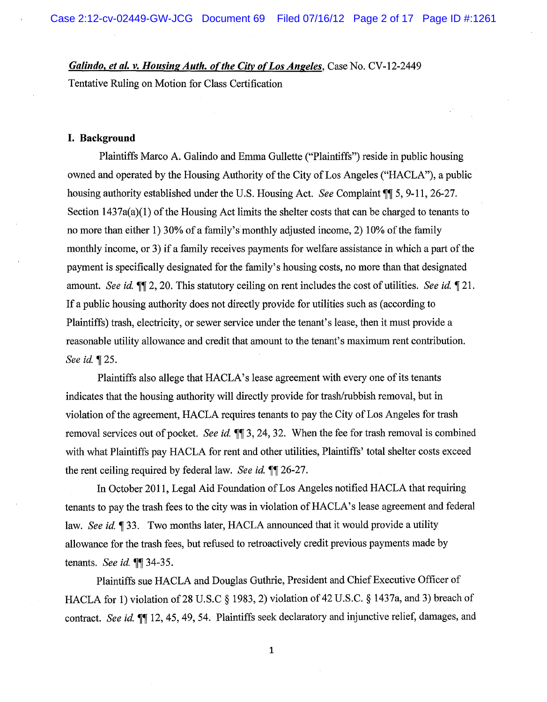*Galindo, et al. v. Housing Auth. of the City of Los Angeles, Case No. CV-12-2449* 

Tentative Ruling on Motion for Class Certification

## **I. Background**

Plaintiffs Marco A. Galindo and Emma Gullette ("Plaintiffs") reside in public housing owned and operated by the Housing Authority of the City of Los Angeles ("HACLA"), a public housing authority established under the U.S. Housing Act. *See* Complaint  $\P$  5, 9-11, 26-27. Section 1437a(a)(1) of the Housing Act limits the shelter costs that can be charged to tenants to no more than either 1) 30% of a family's monthly adjusted income, 2) 10% of the family monthly income, or 3) if a family receives payments for welfare assistance in which a part of the payment is specifically designated for the family's housing costs, no more than that designated amount. *See id.*  $\P\P$  2, 20. This statutory ceiling on rent includes the cost of utilities. *See id.*  $\P$  21. If a public housing authority does not directly provide for utilities such as (according to Plaintiffs) trash, electricity, or sewer service under the tenant's lease, then it must provide a reasonable utility allowance and credit that amount to the tenant's maximum rent contribution. *See id.* 125.

Plaintiffs also allege that HACLA's lease agreement with every one of its tenants indicates that the housing authority will directly provide for trash/rubbish removal, but in violation of the agreement, HACLA requires tenants to pay the City of Los Angeles for trash removal services out of pocket. *See id.*  $\P$  3, 24, 32. When the fee for trash removal is combined with what Plaintiffs pay HACLA for rent and other utilities, Plaintiffs' total shelter costs exceed the rent ceiling required by federal law. *See id.*  $\P$  26-27.

In October 2011, Legal Aid Foundation of Los Angeles notified HACLA that requiring tenants to pay the trash fees to the city was in violation ofHACLA's lease agreement and federal law. *See id.* 133. Two months later, HACLA announced that it would provide a utility allowance for the trash fees, but refused to retroactively credit previous payments made by tenants. *See id.*  $\P\P$  34-35.

Plaintiffs sue HACLA and Douglas Guthrie, President and Chief Executive Officer of HACLA for 1) violation of 28 U.S.C § 1983, 2) violation of 42 U.S.C. § 1437a, and 3) breach of contract. *See id.*  $\P\P$  12, 45, 49, 54. Plaintiffs seek declaratory and injunctive relief, damages, and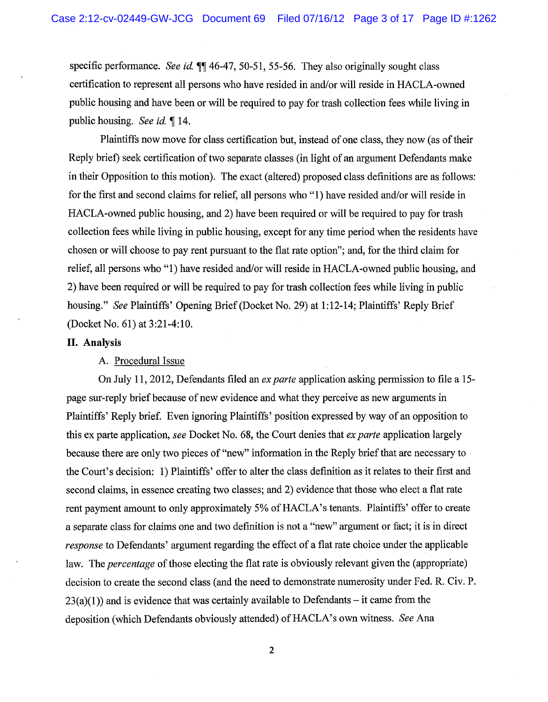specific performance. *See id.*  $\P\P$  46-47, 50-51, 55-56. They also originally sought class certification to represent all persons who have resided in and/or will reside in HACLA-owned public housing and have been or will be required to pay for trash collection fees while living in public housing. *See id.* 14.

Plaintiffs now move for class certification but, instead of one class, they now (as of their Reply brief) seek certification of two separate classes (in light of an argument Defendants make in their Opposition to this motion). The exact (altered) proposed class definitions are as follows: for the first and second claims for relief, all persons who "1) have resided and/or will reside in HACLA-owned public housing, and 2) have been required or will be required to pay for trash collection fees while living in public housing, except for any time period when the residents have chosen or will choose to pay rent pursuant to the flat rate option"; and, for the third claim for relief, all persons who **"1)** have resided and/or will reside in HACLA-owned public housing, and 2) have been required or will be required to pay for trash collection fees while living in public housing." *See* Plaintiffs' Opening Brief (Docket No. 29) at 1: 12-14; Plaintiffs' Reply Brief (Docket No. 61) at 3:21-4:10.

#### **II. Analysis**

#### A. Procedural Issue

On July **11,** 2012, Defendants filed an *ex parte* application asking permission to file a 15 page sur-reply brief because of new evidence and what they perceive as new arguments in Plaintiffs' Reply brief. Even ignoring Plaintiffs' position expressed by way of an opposition to this ex parte application, *see* Docket No. 68, the Court denies that *ex parte* application largely because there are only two pieces of "new" information in the Reply brief that are necessary to the Court's decision: 1) Plaintiffs' offer to alter the class definition as it relates to their first and second claims, in essence creating two classes; and 2) evidence that those who elect a flat rate rent payment amount to only approximately 5% of HACLA's tenants. Plaintiffs' offer to create a separate class for claims one and two definition is not a "new" argument or fact; it is in direct *response* to Defendants' argument regarding the effect of a flat rate choice under the applicable law. The *percentage* of those electing the flat rate is obviously relevant given the (appropriate) decision to create the second class (and the need to demonstrate numerosity under Fed. R. Civ. P.  $23(a)(1)$ ) and is evidence that was certainly available to Defendants – it came from the deposition (which Defendants obviously attended) of HACLA's own witness. See Ana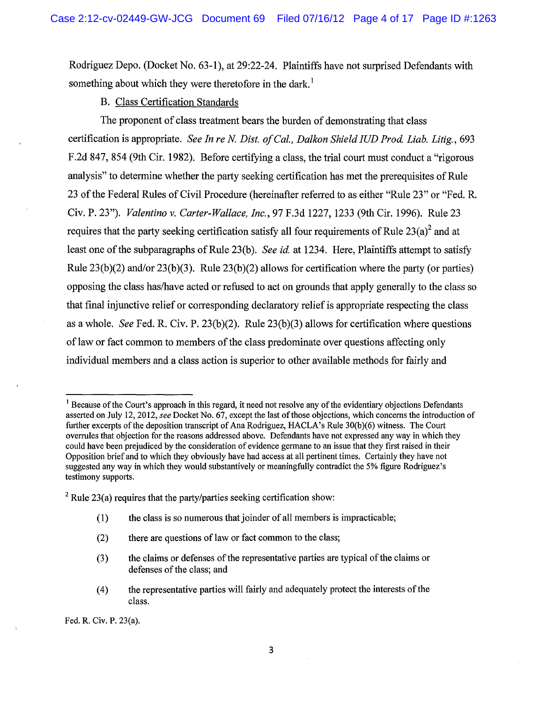Rodriguez Depo. (Docket No. 63-1 ), at 29:22-24. Plaintiffs have not surprised Defendants with something about which they were theretofore in the dark.<sup>1</sup>

B. Class Certification Standards

The proponent of class treatment bears the burden of demonstrating that class certification is appropriate. *See In re N. Dist. of Cal., Dalkon Shield IUD Prod. Liab. Litig.*, 693 F.2d 847, 854 (9th Cir. 1982). Before certifying a class, the trial court must conduct a "rigorous" analysis" to determine whether the party seeking certification has met the prerequisites of Rule 23 of the Federal Rules of Civil Procedure (hereinafter referred to as either "Rule 23" or "Fed. R. Civ. P. 23"). *Valentino v. Carter-Wallace, Inc.,* 97 F.3d 1227, 1233 (9th Cir. 1996). Rule 23 requires that the party seeking certification satisfy all four requirements of Rule  $23(a)^2$  and at least one of the subparagraphs of Rule 23(b). *See id* at 1234. Here, Plaintiffs attempt to satisfy Rule  $23(b)(2)$  and/or  $23(b)(3)$ . Rule  $23(b)(2)$  allows for certification where the party (or parties) opposing the class has/have acted or refused to act on grounds that apply generally to the class so that final injunctive relief or corresponding declaratory relief is appropriate respecting the class as a whole. *See* Fed. R. Civ. P. 23(b)(2). Rule 23(b)(3) allows for certification where questions of law or fact common to members of the class predominate over questions affecting only individual members and a class action is superior to other available methods for fairly and

- ( 1) the class is so numerous that joinder of all members is impracticable;
- (2) there are questions of law or fact common to the class;
- (3) the claims or defenses of the representative parties are typical of the claims or defenses of the class; and
- ( 4) the representative parties will fairly and adequately protect the interests of the class.

Fed. R. Civ. P. 23(a).

<sup>&</sup>lt;sup>1</sup> Because of the Court's approach in this regard, it need not resolve any of the evidentiary objections Defendants asserted on July 12, 2012, *see* Docket No. 67, except the last of those objections, which concerns the introduction of further excerpts of the deposition transcript of Ana Rodriguez, HACLA's Rule 30(b)(6) witness. The Court overrules that objection for the reasons addressed above. Defendants have not expressed any way in which they could have been prejudiced by the consideration of evidence germane to an issue that they first raised in their Opposition brief and to which they obviously have had access at all pertinent times. Certainly they have not suggested any way in which they would substantively or meaningfully contradict the 5% figure Rodriguez's testimony supports.

 $2$  Rule 23(a) requires that the party/parties seeking certification show: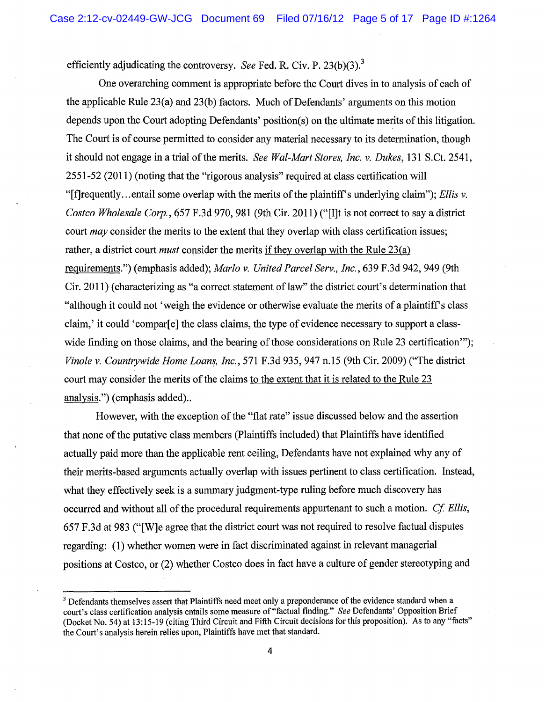efficiently adjudicating the controversy. *See* Fed. R. Civ. P. 23(b)(3).<sup>3</sup>

One overarching comment is appropriate before the Court dives in to analysis of each of the applicable Rule 23(a) and 23(b) factors. Much of Defendants' arguments on this motion depends upon the Court adopting Defendants' position(s) on the ultimate merits of this litigation. The Court is of course permitted to consider any material necessary to its determination, though it should not engage in a trial of the merits. *See Wal-Mart Stores, Inc. v. Dukes*, 131 S.Ct. 2541, 2551-52 (2011) (noting that the "rigorous analysis" required at class certification will "[f]requently... entail some overlap with the merits of the plaintiff's underlying claim"); *Ellis v. Costco Wholesale Corp.,* 657 F.3d 970, 981 (9th Cir. 2011) ("[I]t is not correct to say a district court *may* consider the merits to the extent that they overlap with class certification issues; rather, a district court *must* consider the merits if they overlap with the Rule 23(a) requirements.") (emphasis added); *Marlo v. United Parcel Serv., Inc.,* 639 F.3d 942, 949 (9th Cir. 2011) (characterizing as "a correct statement of law" the district court's determination that "although it could not 'weigh the evidence or otherwise evaluate the merits of a plaintiffs class claim,' it could 'compar[e] the class claims, the type of evidence necessary to support a classwide finding on those claims, and the bearing of those considerations on Rule 23 certification"); *Vinole v. Countrywide Home Loans, Inc.,* 571 F.3d 935, 947 n.l5 (9th Cir. 2009) ("The district court may consider the merits of the claims to the extent that it is related to the Rule 23 analysis.") (emphasis added)..

However, with the exception of the "flat rate" issue discussed below and the assertion that none of the putative class members (Plaintiffs included) that Plaintiffs have identified actually paid more than the applicable rent ceiling, Defendants have not explained why any of their merits-based arguments actually overlap with issues pertinent to class certification. Instead, what they effectively seek is a summary judgment-type ruling before much discovery has occurred and without all of the procedural requirements appurtenant to such a motion. *Cf Ellis,*  657 F.3d at 983 ("[W]e agree that the district court was not required to resolve factual disputes regarding: (1) whether women were in fact discriminated against in relevant managerial positions at Costco, or (2) whether Costco does in fact have a culture of gender stereotyping and

<sup>&</sup>lt;sup>3</sup> Defendants themselves assert that Plaintiffs need meet only a preponderance of the evidence standard when a court's class certification analysis entails some measure of"factual finding." *See* Defendants' Opposition Brief (Docket No. 54) at 13:15-19 (citing Third Circuit and Fifth Circuit decisions for this proposition). As to any "facts" the Court's analysis herein relies upon, Plaintiffs have met that standard.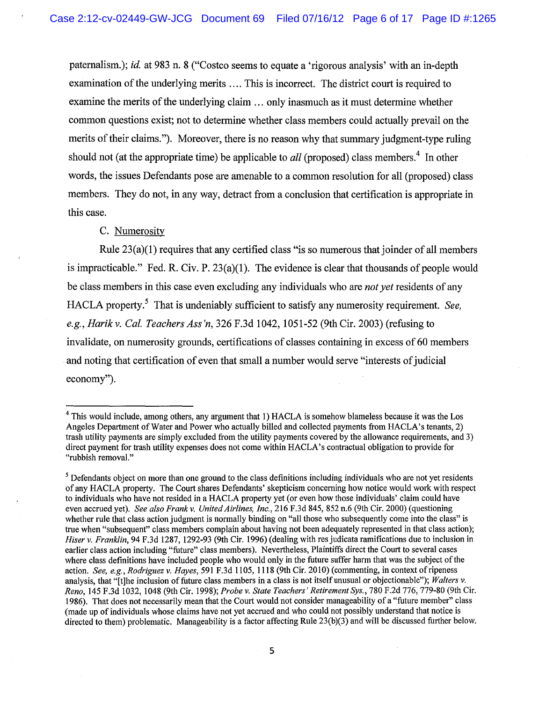paternalism.); *id.* at 983 n. 8 ("Costco seems to equate a 'rigorous analysis' with an in-depth examination of the underlying merits .... This is incorrect. The district court is required to examine the merits of the underlying claim ... only inasmuch as it must determine whether common questions exist; not to determine whether class members could actually prevail on the merits of their claims."). Moreover, there is no reason why that summary judgment-type ruling should not (at the appropriate time) be applicable to *all* (proposed) class members.<sup>4</sup> In other words, the issues Defendants pose are amenable to a common resolution for all (proposed) class members. They do not, in any way, detract from a conclusion that certification is appropriate in this case.

## C. Numerosity

Rule  $23(a)(1)$  requires that any certified class "is so numerous that joinder of all members is impracticable." Fed. R. Civ. P. 23(a)(1). The evidence is clear that thousands of people would be class members in this case even excluding any individuals who are *not yet* residents of any HACLA property.5 That is undeniably sufficient to satisfy any numerosity requirement. *See, e.g., Harik v. Cal. Teachers Ass 'n,* 326 F.3d 1042, 1051-52 (9th Cir. 2003) (refusing to invalidate, on numerosity grounds, certifications of classes containing in excess of 60 members and noting that certification of even that small a number would serve "interests of judicial economy").

<sup>&</sup>lt;sup>4</sup> This would include, among others, any argument that 1) HACLA is somehow blameless because it was the Los Angeles Department of Water and Power who actually billed and collected payments from HACLA's tenants, 2) trash utility payments are simply excluded from the utility payments covered by the allowance requirements, and 3) direct payment for trash utility expenses does not come within HACLA's contractual obligation to provide for "rubbish removal."

<sup>&</sup>lt;sup>5</sup> Defendants object on more than one ground to the class definitions including individuals who are not yet residents of any HACLA property. The Court shares Defendants' skepticism concerning how notice would work with respect to individuals who have not resided in a HACLA property yet (or even how those individuals' claim could have even accrued yet). *See also Frank v. United Airlines, Inc.,* 216 F.3d 845, 852 n.6 (9th Cir. 2000) (questioning whether rule that class action judgment is normally binding on "all those who subsequently come into the class" is true when "subsequent" class members complain about having not been adequately represented in that class action); *Hiser v. Franklin,* 94 F.3d 1287, 1292-93 (9th Cir. 1996) (dealing with res judicata ramifications due to inclusion in earlier class action including "future" class members). Nevertheless, Plaintiffs direct the Court to several cases where class definitions have included people who would only in the future suffer harm that was the subject of the action. *See, e.g., Rodriguez v. Hayes,* 591 F.3d 1105, 1118 (9th Cir. 2010) (commenting, in context of ripeness analysis, that "[t]he inclusion of future class members in a class is not itself unusual or objectionable"); *Walters v. Reno,* 145 F.3d 1032, 1048 (9th Cir. 1998); *Probe v. State Teachers' Retirement Sys.,* 780 F.2d 776, 779-80 (9th Cir. 1986). That does not necessarily mean that the Court would not consider manageability of a "future member" class (made up of individuals whose claims have not yet accrued and who could not possibly understand that notice is directed to them) problematic. Manageability is a factor affecting Rule 23(b)(3) and will be discussed further below.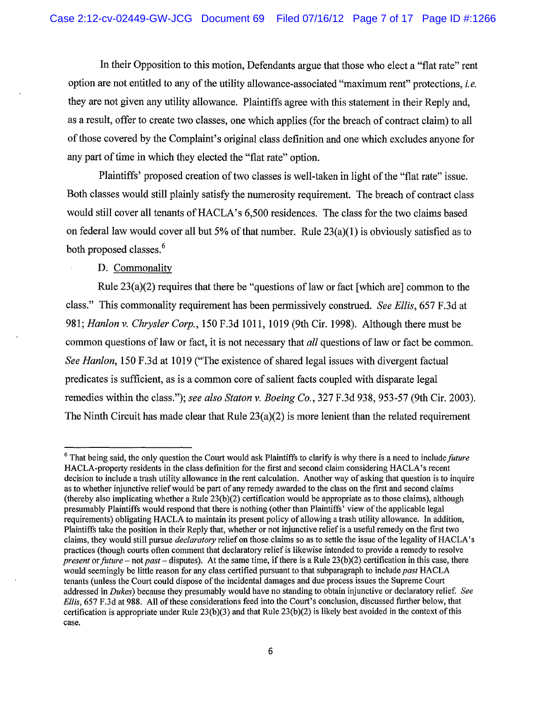In their Opposition to this motion, Defendants argue that those who elect a "flat rate" rent option are not entitled to any of the utility allowance-associated "maximum rent" protections, *i.e.*  they are not given any utility allowance. Plaintiffs agree with this statement in their Reply and, as a result, offer to create two classes, one which applies (for the breach of contract claim) to all of those covered by the Complaint's original class definition and one which excludes anyone for any part of time in which they elected the "flat rate" option.

Plaintiffs' proposed creation of two classes is well-taken in light of the "flat rate" issue. Both classes would still plainly satisfy the numerosity requirement. The breach of contract class would still cover all tenants of HACLA's 6,500 residences. The class for the two claims based on federal law would cover all but 5% of that number. Rule  $23(a)(1)$  is obviously satisfied as to both proposed classes.<sup>6</sup>

## D. Commonality

Rule 23(a)(2) requires that there be "questions of law or fact [which are] common to the class." This commonality requirement has been permissively construed. *See Ellis,* 657 F.3d at 981; *Hanlon v. Chrysler Corp.,* 150 F.3d 1011, 1019 (9th Cir. 1998). Although there must be common questions of law or fact, it is not necessary that *all* questions of law or fact be common. *See Hanlon,* 150 F.3d at 1019 ("The existence of shared legal issues with divergent factual predicates is sufficient, as is a common core of salient facts coupled with disparate legal remedies within the class."); *see also Staton v. Boeing Co.,* 327 F.3d 938, 953-57 (9th Cir. 2003). The Ninth Circuit has made clear that Rule 23(a)(2) is more lenient than the related requirement

<sup>6</sup> That being said, the only question the Court would ask Plaintiffs to clarify is why there is a need to include *future*  HACLA-property residents in the class definition for the first and second claim considering HACLA's recent decision to include a trash utility allowance in the rent calculation. Another way of asking that question is to inquire as to whether injunctive relief would be part of any remedy awarded to the class on the first and second claims (thereby also implicating whether a Rule 23(b)(2) certification would be appropriate as to those claims), although presumably Plaintiffs would respond that there is nothing (other than Plaintiffs' view of the applicable legal requirements) obligating HACLA to maintain its present policy of allowing a trash utility allowance. In addition, Plaintiffs take the position in their Reply that, whether or not injunctive relief is a useful remedy on the first two claims, they would still pursue *declaratory* relief on those claims so as to settle the issue of the legality ofHACLA's practices (though courts often comment that declaratory relief is likewise intended to provide a remedy to resolve *present* or *future-* not *past-* disputes). At the same time, if there is a Rule 23(b)(2) certification in this case, there would seemingly be little reason for any class certified pursuant to that subparagraph to include *past* HACLA tenants (unless the Court could dispose of the incidental damages and due process issues the Supreme Court addressed in *Dukes)* because they presumably would have no standing to obtain injunctive or declaratory relief. *See Ellis,* 657 F.3d at 988. All of these considerations feed into the Court's conclusion, discussed further below, that certification is appropriate under Rule  $23(b)(3)$  and that Rule  $23(b)(2)$  is likely best avoided in the context of this case.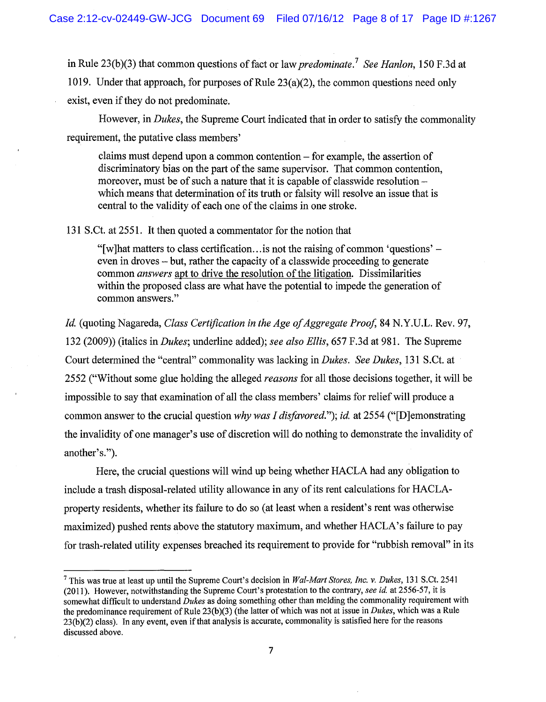in Rule 23(b)(3) that common questions of fact or law *predominate.7 See Hanlon,* 150 F.3d at 1019. Under that approach, for purposes of Rule  $23(a)(2)$ , the common questions need only exist, even if they do not predominate.

However, in *Dukes,* the Supreme Court indicated that in order to satisfy the commonality requirement, the putative class members'

claims must depend upon a common contention - for example, the assertion of discriminatory bias on the part of the same supervisor. That common contention, moreover, must be of such a nature that it is capable of classwide resolutionwhich means that determination of its truth or falsity will resolve an issue that is central to the validity of each one of the claims in one stroke.

131 S.Ct. at 2551. It then quoted a commentator for the notion that

"[w]hat matters to class certification... is not the raising of common 'questions'  $$ even in droves - but, rather the capacity of a classwide proceeding to generate common *answers* apt to drive the resolution of the litigation. Dissimilarities within the proposed class are what have the potential to impede the generation of common answers."

*Id* (quoting Nagareda, *Class Certification in the Age of Aggregate Proof,* 84 N.Y.U.L. Rev. 97, 132 (2009)) (italics in *Dukes;* underline added); *see also Ellis,* 657 F.3d at 981. The Supreme Court determined the "central" commonality was lacking in *Dukes. See Dukes,* 131 S.Ct. at 2552 ("Without some glue holding the alleged *reasons* for all those decisions together, it will be impossible to say that examination of all the class members' claims for relief will produce a common answer to the crucial question *why was I disfavored."); id* at 2554 ("[D]emonstrating the invalidity of one manager's use of discretion will do nothing to demonstrate the invalidity of another's.").

Here, the crucial questions will wind up being whether HACLA had any obligation to include a trash disposal-related utility allowance in any of its rent calculations for HACLAproperty residents, whether its failure to do so (at least when a resident's rent was otherwise maximized) pushed rents above the statutory maximum, and whether HACLA's failure to pay for trash-related utility expenses breached its requirement to provide for "rubbish removal" in its

<sup>7</sup> This was true at least up until the Supreme Court's decision in *Wal-Mart Stores, Inc. v. Dukes,* 131 S.Ct. 2541 (2011). However, notwithstanding the Supreme Court's protestation to the contrary, *see id.* at 2556-57, it is somewhat difficult to understand *Dukes* as doing something other than melding the commonality requirement with the predominance requirement of Rule 23(b)(3) (the latter of which was not at issue in *Dukes,* which was a Rule  $23(b)(2)$  class). In any event, even if that analysis is accurate, commonality is satisfied here for the reasons discussed above.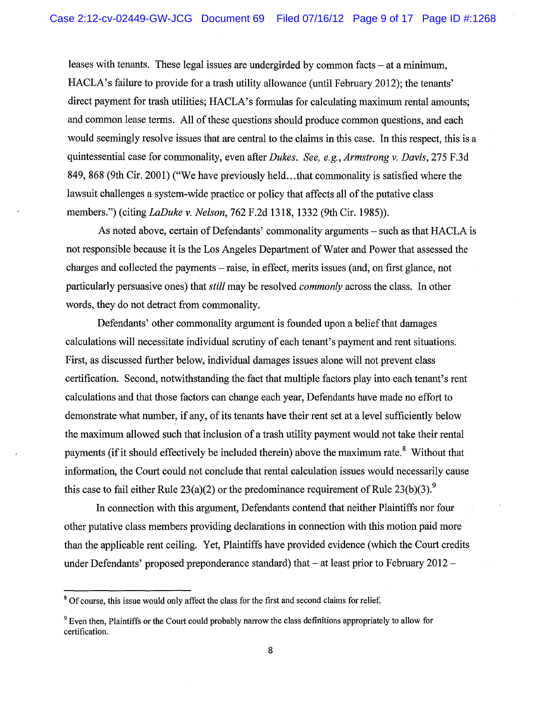leases with tenants. These legal issues are undergirded by common facts – at a minimum, HACLA's failure to provide for a trash utility allowance (until February 2012); the tenants' direct payment for trash utilities; HACLA's formulas for calculating maximum rental amounts; and common lease terms. All of these questions should produce common questions, and each would seemingly resolve issues that are central to the claims in this case. In this respect, this is a quintessential case for commonality, even after *Dukes. See, e.g., Armstrong v. Davis*, 275 F.3d 849, 868 (9th Cir. 2001) ("We have previously held ... that commonality is satisfied where the lawsuit challenges a system-wide practice or policy that affects all of the putative class members.") (citing *LaDuke v. Nelson,* 762 F.2d 1318, 1332 (9th Cir. 1985)).

As noted above, certain of Defendants' commonality arguments – such as that HACLA is not responsible because it is the Los Angeles Department of Water and Power that assessed the charges and collected the payments- raise, in effect, merits issues (and, on first glance, not particularly persuasive ones) that *still* may be resolved *commonly* across the class. In other words, they do not detract from commonality.

Defendants' other commonality argument is founded upon a belief that damages calculations will necessitate individual scrutiny of each tenant's payment and rent situations. First, as discussed further below, individual damages issues alone will not prevent class certification. Second, notwithstanding the fact that multiple factors play into each tenant's rent calculations and that those factors can change each year, Defendants have made no effort to demonstrate what number, if any, of its tenants have their rent set at a level sufficiently below the maximum allowed such that inclusion of a trash utility payment would not take their rental payments (if it should effectively be included therein) above the maximum rate.<sup>8</sup> Without that information, the Court could not conclude that rental calculation issues would necessarily cause this case to fail either Rule 23(a)(2) or the predominance requirement of Rule 23(b)(3).<sup>9</sup>

In connection with this argument, Defendants contend that neither Plaintiffs nor four other putative class members providing declarations in connection with this motion paid more than the applicable rent ceiling. Yet, Plaintiffs have provided evidence (which the Court credits under Defendants' proposed preponderance standard) that  $-$  at least prior to February 2012 $-$ 

<sup>&</sup>lt;sup>8</sup> Of course, this issue would only affect the class for the first and second claims for relief.

<sup>&</sup>lt;sup>9</sup> Even then, Plaintiffs or the Court could probably narrow the class definitions appropriately to allow for certification.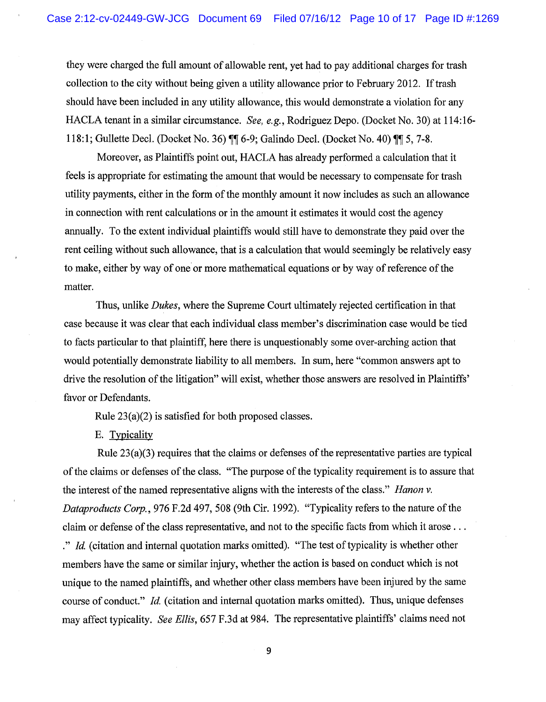they were charged the full amount of allowable rent, yet had to pay additional charges for trash collection to the city without being given a utility allowance prior to February 2012. If trash should have been included in any utility allowance, this would demonstrate a violation for any HACLA tenant in a similar circumstance. *See, e.g.,* Rodriguez Depo. (Docket No. 30) at 114:16- 118:1; Gullette Decl. (Docket No. 36)  $\P\P$  6-9; Galindo Decl. (Docket No. 40)  $\P$   $\P$  5, 7-8.

Moreover, as Plaintiffs point out, HACLA has already performed a calculation that it feels is appropriate for estimating the amount that would be necessary to compensate for trash utility payments, either in the form of the monthly amount it now includes as such an allowance in connection with rent calculations or in the amount it estimates it would cost the agency annually. To the extent individual plaintiffs would still have to demonstrate they paid over the rent ceiling without such allowance, that is a calculation that would seemingly be relatively easy to make, either by way of one or more mathematical equations or by way of reference of the matter.

Thus, unlike *Dukes,* where the Supreme Court ultimately rejected certification in that case because it was clear that each individual class member's discrimination case would be tied to facts particular to that plaintiff, here there is unquestionably some over-arching action that would potentially demonstrate liability to all members. In sum, here "common answers apt to drive the resolution of the litigation" will exist, whether those answers are resolved in Plaintiffs' favor or Defendants.

Rule 23(a)(2) is satisfied for both proposed classes.

E. Typicality

Rule 23(a)(3) requires that the claims or defenses of the representative parties are typical of the claims or defenses of the class. "The purpose of the typicality requirement is to assure that the interest of the named representative aligns with the interests of the class." *Hanon v*. *Dataproducts Corp.,* 976 F.2d 497, 508 (9th Cir. 1992). "Typicality refers to the nature of the claim or defense of the class representative, and not to the specific facts from which it arose ... ." *Id.* (citation and internal quotation marks omitted). "The test of typicality is whether other members have the same or similar injury, whether the action is based on conduct which is not unique to the named plaintiffs, and whether other class members have been injured by the same course of conduct." *Id* (citation and internal quotation marks omitted). Thus, unique defenses may affect typicality. *See Ellis,* 657 F.3d at 984. The representative plaintiffs' claims need not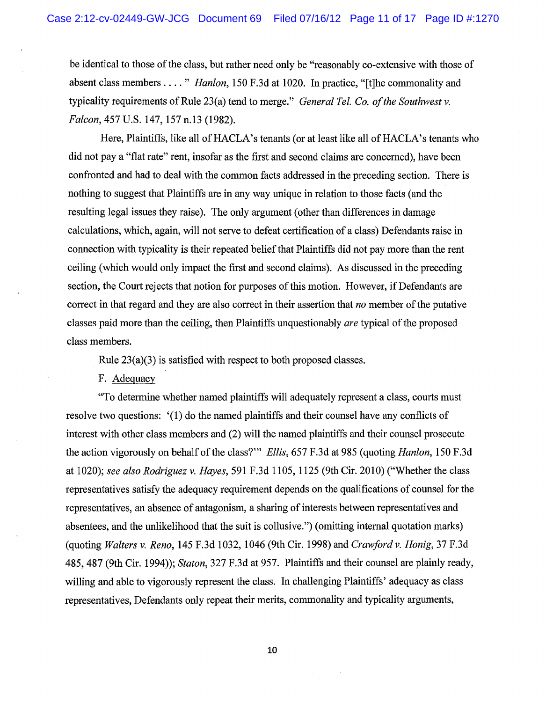be identical to those of the class, but rather need only be "reasonably co-extensive with those of absent class members .... " *Hanlon,* 150 F.3d at 1020. In practice, "[t]he commonality and typicality requirements of Rule 23(a) tend to merge." *General Tel. Co. of the Southwest v. Falcon,* 457 U.S. 147, 157 n.13 (1982).

Here, Plaintiffs, like all of HACLA's tenants (or at least like all of HACLA's tenants who did not pay a "flat rate" rent, insofar as the first and second claims are concerned), have been confronted and had to deal with the common facts addressed in the preceding section. There is nothing to suggest that Plaintiffs are in any way unique in relation to those facts (and the resulting legal issues they raise). The only argument (other than differences in damage calculations, which, again, will not serve to defeat certification of a class) Defendants raise in connection with typicality is their repeated belief that Plaintiffs did not pay more than the rent ceiling (which would only impact the first and second claims). As discussed in the preceding section, the Court rejects that notion for purposes of this motion. However, if Defendants are correct in that regard and they are also correct in their assertion that *no* member of the putative classes paid more than the ceiling, then Plaintiffs unquestionably *are* typical of the proposed class members.

Rule 23(a)(3) is satisfied with respect to both proposed classes.

F. Adequacy

"To determine whether named plaintiffs will adequately represent a class, courts must resolve two questions: '(1) do the named plaintiffs and their counsel have any conflicts of interest with other class members and (2) will the named plaintiffs and their counsel prosecute the action vigorously on behalf of the class?'" *Ellis,* 657 F .3d at 985 (quoting *Hanlon,* 150 F .3d at 1020); *see also Rodriguez v. Hayes,* 591 F.3d 1105, 1125 (9th Cir. 2010) ("Whether the class representatives satisfy the adequacy requirement depends on the qualifications of counsel for the representatives, an absence of antagonism, a sharing of interests between representatives and absentees, and the unlikelihood that the suit is collusive.") (omitting internal quotation marks) (quoting *Walters v. Reno,* 145 F.3d 1032, 1046 (9th Cir. 1998) and *Crawford v. Honig,* 37 F.3d 485, 487 (9th Cir. 1994)); *Staton,* 327 F.3d at 957. Plaintiffs and their counsel are plainly ready, willing and able to vigorously represent the class. In challenging Plaintiffs' adequacy as class representatives, Defendants only repeat their merits, commonality and typicality arguments,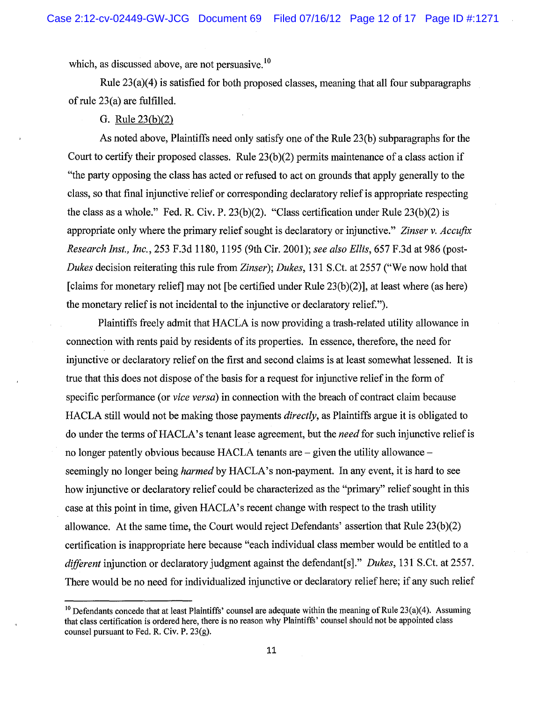which, as discussed above, are not persuasive.<sup>10</sup>

Rule  $23(a)(4)$  is satisfied for both proposed classes, meaning that all four subparagraphs of rule 23(a) are fulfilled.

#### G. Rule 23(b)(2)

As noted above, Plaintiffs need only satisfy one of the Rule 23(b) subparagraphs for the Court to certify their proposed classes. Rule  $23(b)(2)$  permits maintenance of a class action if "the party opposing the class has acted or refused to act on grounds that apply generally to the class, so that final injunctive relief or corresponding declaratory relief is appropriate respecting the class as a whole." Fed. R. Civ. P. 23(b)(2). "Class certification under Rule 23(b)(2) is appropriate only where the primary relief sought is declaratory or injunctive." *Zinser v. Accufix Research !nsf., Inc.,* 253 F .3d 1180, 1195 (9th Cir. 2001 ); *see also Ellis,* 657 F .3d at 986 (post-*Dukes* decision reiterating this rule from *Zinser); Dukes,* 131 S.Ct. at 2557 ("We now hold that [claims for monetary relief] may not [be certified under Rule 23(b)(2)], at least where (as here) the monetary relief is not incidental to the injunctive or declaratory relief.").

Plaintiffs freely admit that HACLA is now providing a trash-related utility allowance in connection with rents paid by residents of its properties. In essence, therefore, the need for injunctive or declaratory relief on the first and second claims is at least somewhat lessened. It is true that this does not dispose of the basis for a request for injunctive relief in the form of specific performance (or *vice versa)* in connection with the breach of contract claim because HACLA still would not be making those payments *directly,* as Plaintiffs argue it is obligated to do under the terms of HAC LA's tenant lease agreement, but the *need* for such injunctive relief is no longer patently obvious because HACLA tenants are – given the utility allowance – seemingly no longer being *harmed* by HACLA's non-payment. In any event, it is hard to see how injunctive or declaratory relief could be characterized as the "primary" relief sought in this case at this point in time, given HACLA's recent change with respect to the trash utility allowance. At the same time, the Court would reject Defendants' assertion that Rule 23(b)(2) certification is inappropriate here because "each individual class member would be entitled to a *different* injunction or declaratory judgment against the defendant[s]." *Dukes,* 131 S.Ct. at 2557. There would be no need for individualized injunctive or declaratory relief here; if any such relief

<sup>&</sup>lt;sup>10</sup> Defendants concede that at least Plaintiffs' counsel are adequate within the meaning of Rule  $23(a)(4)$ . Assuming that class certification is ordered here, there is no reason why Plaintiffs' counsel should not be appointed class counsel pursuant to Fed. R. Civ. P. 23(g).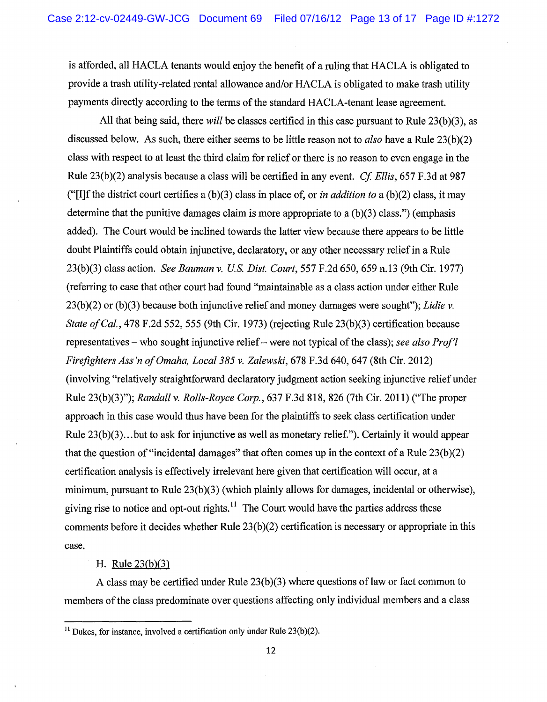is afforded, all HACLA tenants would enjoy the benefit of a ruling that HACLA is obligated to provide a trash utility-related rental allowance and/or HACLA is obligated to make trash utility payments directly according to the terms of the standard HACLA-tenant lease agreement.

All that being said, there *will* be classes certified in this case pursuant to Rule 23(b)(3), as discussed below. As such, there either seems to be little reason not to *also* have a Rule 23(b)(2) class with respect to at least the third claim for relief or there is no reason to even engage in the Rule 23(b)(2) analysis because a class will be certified in any event. *Cf Ellis,* 657 F.3d at 987 ("[I]f the district court certifies a  $(b)(3)$  class in place of, or *in addition to* a  $(b)(2)$  class, it may determine that the punitive damages claim is more appropriate to a  $(b)(3)$  class.") (emphasis added). The Court would be inclined towards the latter view because there appears to be little doubt Plaintiffs could obtain injunctive, declaratory, or any other necessary relief in a Rule 23(b)(3) class action. *See Bauman v. U.S. Dist. Court,* 557 F.2d 650, 659 n.13 (9th Cir. 1977) (referring to case that other court had found "maintainable as a class action under either Rule 23(b)(2) or (b)(3) because both injunctive relief and money damages were sought"); *Lidie v. State of Cal.,* 478 F.2d 552, 555 (9th Cir. 1973) (rejecting Rule 23(b)(3) certification because representatives- who sought injunctive relief- were not typical of the class); *see also Prof'! Firefighters Ass 'n of Omaha, Local 385 v. Zalewski,* 678 F.3d 640, 647 (8th Cir. 2012) (involving "relatively straightforward declaratory judgment action seeking injunctive relief under Rule 23(b)(3)"); *Randall v. Rolls-Royce Corp.,* 637 F.3d 818, 826 (7th Cir. 2011) ("The proper approach in this case would thus have been for the plaintiffs to seek class certification under Rule 23(b)(3)... but to ask for injunctive as well as monetary relief."). Certainly it would appear that the question of "incidental damages" that often comes up in the context of a Rule  $23(b)(2)$ certification analysis is effectively irrelevant here given that certification will occur, at a minimum, pursuant to Rule 23(b)(3) (which plainly allows for damages, incidental or otherwise), giving rise to notice and opt-out rights.<sup>11</sup> The Court would have the parties address these comments before it decides whether Rule  $23(b)(2)$  certification is necessary or appropriate in this case.

H. Rule 23(b)(3)

A class may be certified under Rule 23(b)(3) where questions of law or fact common to members of the class predominate over questions affecting only individual members and a class

 $11$  Dukes, for instance, involved a certification only under Rule 23(b)(2).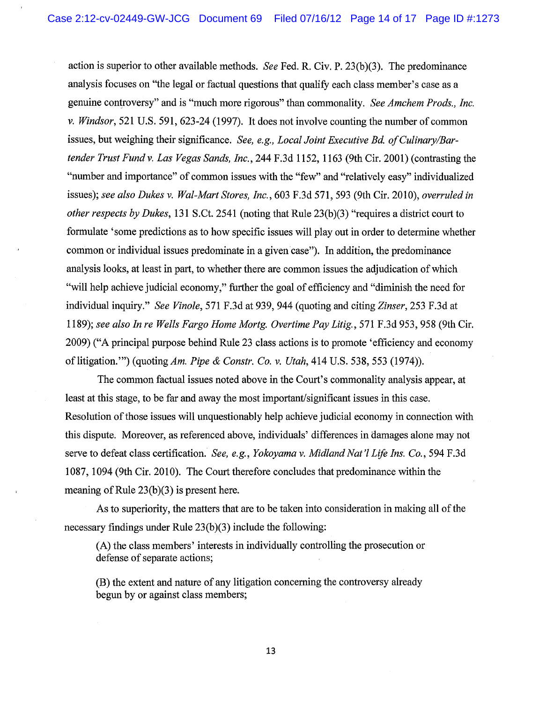action is superior to other available methods. *See* Fed. R. Civ. P. 23(b)(3). The predominance analysis focuses on "the legal or factual questions that qualify each class member's case as a genuine controversy" and is "much more rigorous" than commonality. *See Amchem Prods., Inc. v. Windsor,* 521 U.S. 591, 623-24 (1997). It does not involve counting the number of common issues, but weighing their significance. *See, e.g., Local Joint Executive Bd. of Culinary/Bartender Trust Fund v. Las Vegas Sands, Inc.,* 244 F .3d 1152, 1163 (9th Cir. 2001) (contrasting the "number and importance" of common issues with the "few" and "relatively easy" individualized issues); *see also Dukes v. Wal-Mart Stores, Inc.,* 603 F.3d 571, 593 (9th Cir. 2010), *overruled in other respects by Dukes,* 131 S.Ct. 2541 (noting that Rule 23(b)(3) "requires a district court to formulate 'some predictions as to how specific issues will play out in order to determine whether common or individual issues predominate in a given case"). In addition, the predominance analysis looks, at least in part, to whether there are common issues the adjudication of which "will help achieve judicial economy," further the goal of efficiency and "diminish the need for individual inquiry." *See Vinole,* 571 F.3d at 939, 944 (quoting and citing *Zinser,* 253 F.3d at 1189); *see also In re Wells Fargo Home Mortg. Overtime Pay Litig.,* 571 F.3d 953, 958 (9th Cir. 2009) ("A principal purpose behind Rule 23 class actions is to promote 'efficiency and economy of litigation."') (quoting *Am. Pipe* & *Constr. Co. v. Utah,* 414 U.S. 538, 553 (1974)).

The common factual issues noted above in the Court's commonality analysis appear, at least at this stage, to be far and away the most important/significant issues in this case. Resolution of those issues will unquestionably help achieve judicial economy in connection with this dispute. Moreover, as referenced above, individuals' differences in damages alone may not serve to defeat class certification. *See, e.g., Yokoyama v. Midland Nat'! Life Ins. Co.,* 594 F.3d 1087, 1094 (9th Cir. 2010). The Court therefore concludes that predominance within the meaning of Rule 23(b)(3) is present here.

As to superiority, the matters that are to be taken into consideration in making all of the necessary findings under Rule  $23(b)(3)$  include the following:

(A) the class members' interests in individually controlling the prosecution or defense of separate actions;

(B) the extent and nature of any litigation concerning the controversy already begun by or against class members;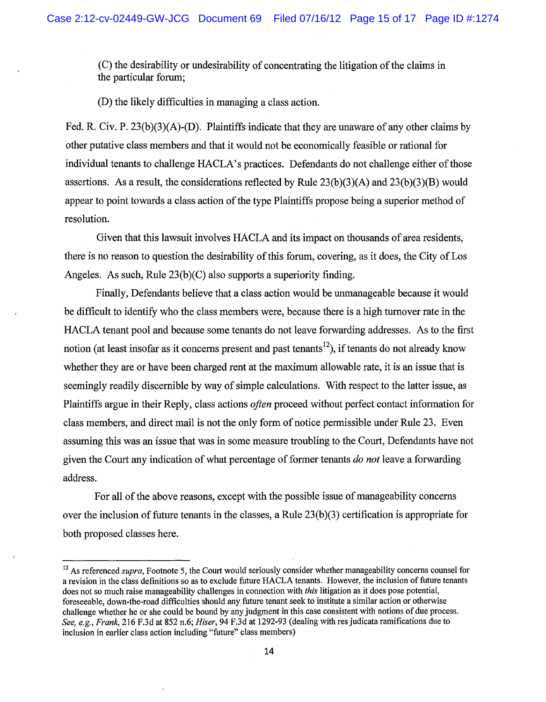(C) the desirability or undesirability of concentrating the litigation of the claims in the particular forum;

(D) the likely difficulties in managing a class action.

Fed. R. Civ. P.  $23(b)(3)(A)$ -(D). Plaintiffs indicate that they are unaware of any other claims by other putative class members and that it would not be economically feasible or rational for individual tenants to challenge HACLA's practices. Defendants do not challenge either of those assertions. As a result, the considerations reflected by Rule  $23(b)(3)(A)$  and  $23(b)(3)(B)$  would appear to point towards a class action of the type Plaintiffs propose being a superior method of resolution.

Given that this lawsuit involves HACLA and its impact on thousands of area residents, there is no reason to question the desirability of this forum, covering, as it does, the City of Los Angeles. As such, Rule  $23(b)(C)$  also supports a superiority finding.

Finally, Defendants believe that a class action would be unmanageable because it would be difficult to identify who the class members were, because there is a high turnover rate in the HACLA tenant pool and because some tenants do not leave forwarding addresses. As to the first notion (at least insofar as it concerns present and past tenants<sup>12</sup>), if tenants do not already know whether they are or have been charged rent at the maximum allowable rate, it is an issue that is seemingly readily discernible by way of simple calculations. With respect to the latter issue, as Plaintiffs argue in their Reply, class actions *often* proceed without perfect contact information for class members, and direct mail is not the only form of notice permissible under Rule 23. Even assuming this was an issue that was in some measure troubling to the Court, Defendants have not given the Court any indication of what percentage of former tenants *do not* leave a forwarding address.

For all of the above reasons, except with the possible issue of manageability concerns over the inclusion of future tenants in the classes, a Rule 23(b )(3) certification is appropriate for both proposed classes here.

<sup>&</sup>lt;sup>12</sup> As referenced *supra*, Footnote 5, the Court would seriously consider whether manageability concerns counsel for a revision in the class definitions so as to exclude future HACLA tenants. However, the inclusion of future tenants does not so much raise manageability challenges in connection with *this* litigation as it does pose potential, foreseeable, down-the-road difficulties should any future tenant seek to institute a similar action or otherwise challenge whether he or she could be bound by any judgment in this case consistent with notions of due process. *See, e.g., Frank,* 216 F.3d at 852 n.6; *Hiser,* 94 F.3d at 1292-93 (dealing with res judicata ramifications due to inclusion in earlier class action including "future" class members)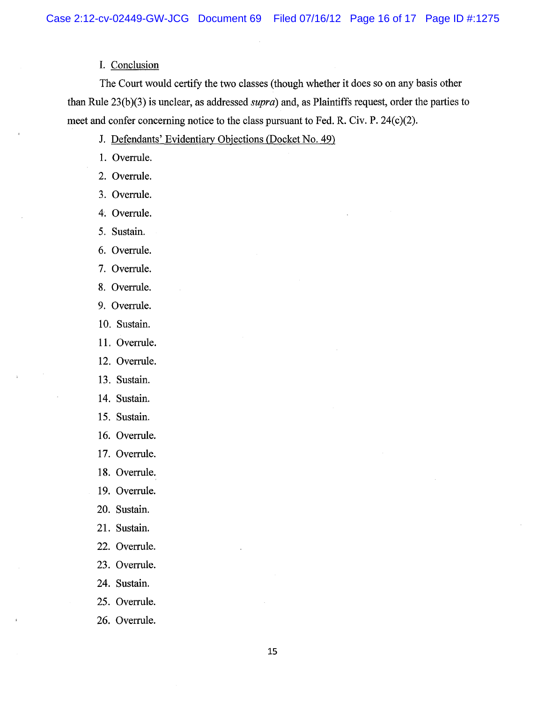#### I. Conclusion

The Court would certify the two classes (though whether it does so on any basis other than Rule 23(b)(3) is unclear, as addressed *supra*) and, as Plaintiffs request, order the parties to meet and confer concerning notice to the class pursuant to Fed. R. Civ. P. 24(c)(2).

- J. Defendants' Evidentiary Objections (Docket No. 49)
- 1. Overrule.
- 2. Overrule.
- 3. Overrule.
- 4·. Overrule.
- 5. Sustain.
- 6. Overrule.
- 7. Overrule.
- 8. Overrule.
- 9. Overrule.
- 10. Sustain.
- 11. Overrule.
- 12. Overrule.
- 13. Sustain.
- 14. Sustain.
- 15. Sustain.
- 16. Overrule.
- 17. Overrule.
- 18. Overrule.
- 19. Overrule.
- 20. Sustain.
- 21. Sustain.
- 22. Overrule.
- 23. Overrule.
- 24. Sustain.
- 25. Overrule.
- 26. Overrule.